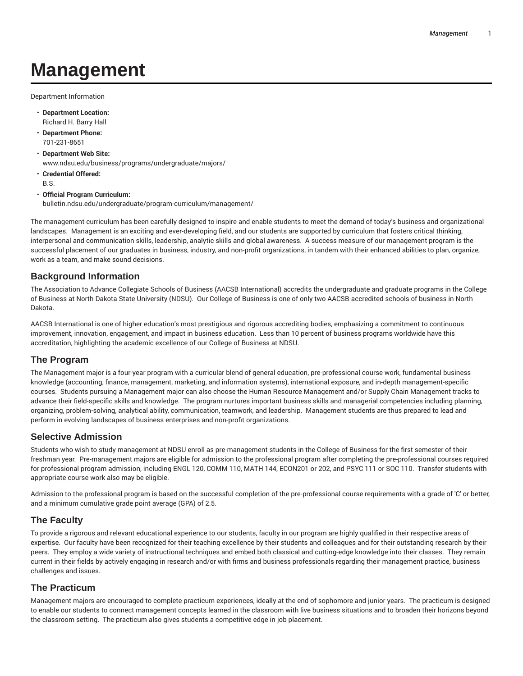# **Management**

Department Information

- **Department Location:** Richard H. Barry Hall
- **Department Phone:** 701-231-8651
- **Department Web Site:** www.ndsu.edu/business/programs/undergraduate/majors/
- **Credential Offered:** B.S.
- **Official Program Curriculum:** bulletin.ndsu.edu/undergraduate/program-curriculum/management/

The management curriculum has been carefully designed to inspire and enable students to meet the demand of today's business and organizational landscapes. Management is an exciting and ever-developing field, and our students are supported by curriculum that fosters critical thinking, interpersonal and communication skills, leadership, analytic skills and global awareness. A success measure of our management program is the successful placement of our graduates in business, industry, and non-profit organizations, in tandem with their enhanced abilities to plan, organize, work as a team, and make sound decisions.

#### **Background Information**

The Association to Advance Collegiate Schools of Business (AACSB International) accredits the undergraduate and graduate programs in the College of Business at North Dakota State University (NDSU). Our College of Business is one of only two AACSB-accredited schools of business in North Dakota.

AACSB International is one of higher education's most prestigious and rigorous accrediting bodies, emphasizing a commitment to continuous improvement, innovation, engagement, and impact in business education. Less than 10 percent of business programs worldwide have this accreditation, highlighting the academic excellence of our College of Business at NDSU.

#### **The Program**

The Management major is a four-year program with a curricular blend of general education, pre-professional course work, fundamental business knowledge (accounting, finance, management, marketing, and information systems), international exposure, and in-depth management-specific courses. Students pursuing a Management major can also choose the Human Resource Management and/or Supply Chain Management tracks to advance their field-specific skills and knowledge. The program nurtures important business skills and managerial competencies including planning, organizing, problem-solving, analytical ability, communication, teamwork, and leadership. Management students are thus prepared to lead and perform in evolving landscapes of business enterprises and non-profit organizations.

#### **Selective Admission**

Students who wish to study management at NDSU enroll as pre-management students in the College of Business for the first semester of their freshman year. Pre-management majors are eligible for admission to the professional program after completing the pre-professional courses required for professional program admission, including ENGL 120, COMM 110, MATH 144, ECON201 or 202, and PSYC 111 or SOC 110. Transfer students with appropriate course work also may be eligible.

Admission to the professional program is based on the successful completion of the pre-professional course requirements with a grade of 'C' or better, and a minimum cumulative grade point average (GPA) of 2.5.

#### **The Faculty**

To provide a rigorous and relevant educational experience to our students, faculty in our program are highly qualified in their respective areas of expertise. Our faculty have been recognized for their teaching excellence by their students and colleagues and for their outstanding research by their peers. They employ a wide variety of instructional techniques and embed both classical and cutting-edge knowledge into their classes. They remain current in their fields by actively engaging in research and/or with firms and business professionals regarding their management practice, business challenges and issues.

#### **The Practicum**

Management majors are encouraged to complete practicum experiences, ideally at the end of sophomore and junior years. The practicum is designed to enable our students to connect management concepts learned in the classroom with live business situations and to broaden their horizons beyond the classroom setting. The practicum also gives students a competitive edge in job placement.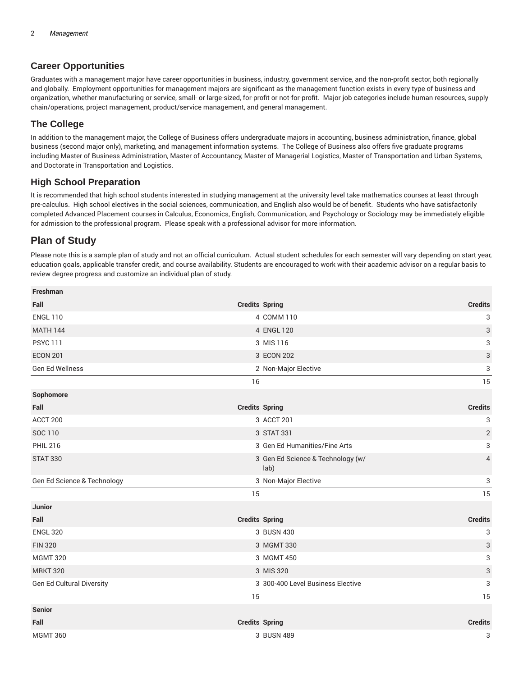### **Career Opportunities**

Graduates with a management major have career opportunities in business, industry, government service, and the non-profit sector, both regionally and globally. Employment opportunities for management majors are significant as the management function exists in every type of business and organization, whether manufacturing or service, small- or large-sized, for-profit or not-for-profit. Major job categories include human resources, supply chain/operations, project management, product/service management, and general management.

#### **The College**

In addition to the management major, the College of Business offers undergraduate majors in accounting, business administration, finance, global business (second major only), marketing, and management information systems. The College of Business also offers five graduate programs including Master of Business Administration, Master of Accountancy, Master of Managerial Logistics, Master of Transportation and Urban Systems, and Doctorate in Transportation and Logistics.

### **High School Preparation**

It is recommended that high school students interested in studying management at the university level take mathematics courses at least through pre-calculus. High school electives in the social sciences, communication, and English also would be of benefit. Students who have satisfactorily completed Advanced Placement courses in Calculus, Economics, English, Communication, and Psychology or Sociology may be immediately eligible for admission to the professional program. Please speak with a professional advisor for more information.

## **Plan of Study**

Please note this is a sample plan of study and not an official curriculum. Actual student schedules for each semester will vary depending on start year, education goals, applicable transfer credit, and course availability. Students are encouraged to work with their academic advisor on a regular basis to review degree progress and customize an individual plan of study.

| Freshman                    |                       |                                           |                |
|-----------------------------|-----------------------|-------------------------------------------|----------------|
| Fall                        | <b>Credits Spring</b> |                                           | <b>Credits</b> |
| <b>ENGL 110</b>             |                       | 4 COMM 110                                | 3              |
| <b>MATH 144</b>             |                       | 4 ENGL 120<br>3 MIS 116<br>3 ECON 202     | 3              |
| <b>PSYC 111</b>             |                       |                                           | 3              |
| <b>ECON 201</b>             |                       |                                           | 3              |
| Gen Ed Wellness             |                       | 2 Non-Major Elective                      | 3              |
|                             | 16                    |                                           | 15             |
| Sophomore                   |                       |                                           |                |
| Fall                        | <b>Credits Spring</b> |                                           | <b>Credits</b> |
| ACCT 200                    |                       | 3 ACCT 201                                | 3              |
| SOC 110                     |                       | 3 STAT 331                                | $\sqrt{2}$     |
| <b>PHIL 216</b>             |                       | 3 Gen Ed Humanities/Fine Arts             | 3              |
| <b>STAT 330</b>             |                       | 3 Gen Ed Science & Technology (w/<br>lab) | $\overline{4}$ |
| Gen Ed Science & Technology |                       | 3 Non-Major Elective                      | 3              |
|                             | 15                    |                                           | 15             |
| Junior                      |                       |                                           |                |
| Fall                        | <b>Credits Spring</b> |                                           | <b>Credits</b> |
| <b>ENGL 320</b>             |                       | 3 BUSN 430                                | 3              |
| <b>FIN 320</b>              |                       | 3 MGMT 330                                | 3              |
| <b>MGMT 320</b>             |                       | 3 MGMT 450                                | 3              |
| <b>MRKT 320</b>             |                       | 3 MIS 320                                 | 3              |
| Gen Ed Cultural Diversity   |                       | 3 300-400 Level Business Elective         | 3              |
|                             | 15                    |                                           | 15             |
| <b>Senior</b>               |                       |                                           |                |
| Fall                        | <b>Credits Spring</b> |                                           | <b>Credits</b> |
| <b>MGMT 360</b>             |                       | 3 BUSN 489                                | 3              |